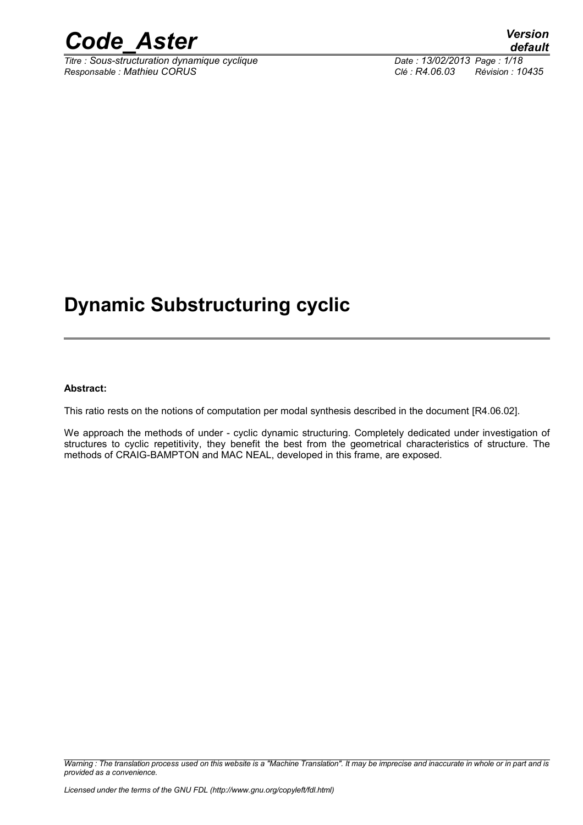

*Titre : Sous-structuration dynamique cyclique Date : 13/02/2013 Page : 1/18 Responsable : Mathieu CORUS Clé : R4.06.03 Révision : 10435*

### **Dynamic Substructuring cyclic**

#### **Abstract:**

This ratio rests on the notions of computation per modal synthesis described in the document [R4.06.02].

We approach the methods of under - cyclic dynamic structuring. Completely dedicated under investigation of structures to cyclic repetitivity, they benefit the best from the geometrical characteristics of structure. The methods of CRAIG-BAMPTON and MAC NEAL, developed in this frame, are exposed.

*Warning : The translation process used on this website is a "Machine Translation". It may be imprecise and inaccurate in whole or in part and is provided as a convenience.*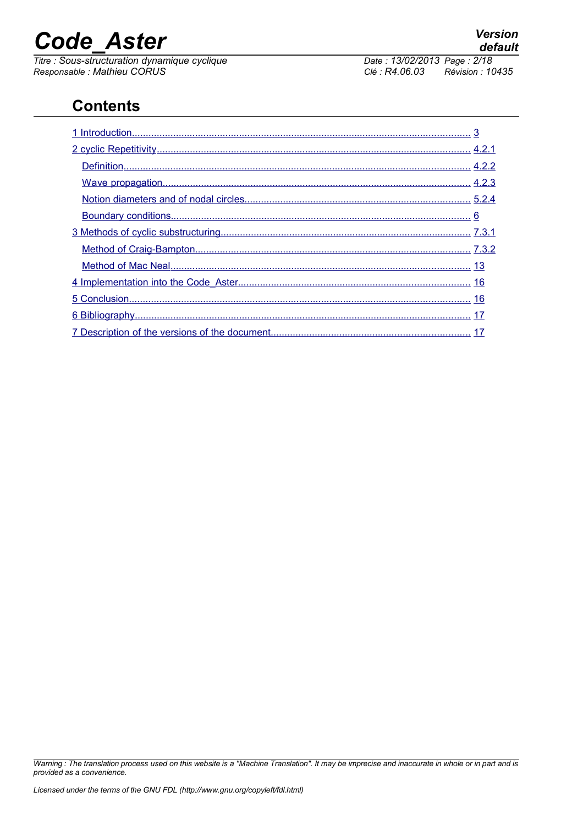*Titre : Sous-structuration dynamique cyclique Date : 13/02/2013 Page : 2/18 Responsable : Mathieu CORUS Clé : R4.06.03 Révision : 10435*

### **Contents**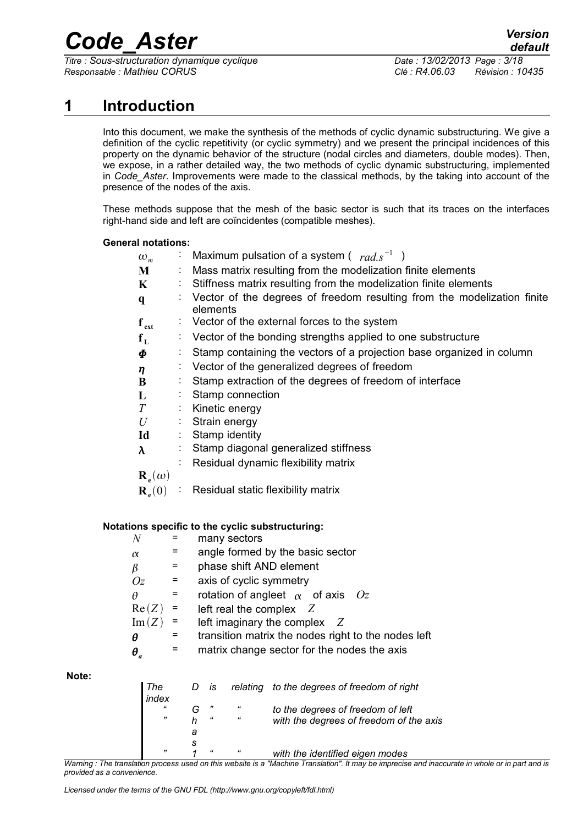*Titre : Sous-structuration dynamique cyclique Date : 13/02/2013 Page : 3/18 Responsable : Mathieu CORUS Clé : R4.06.03 Révision : 10435*

#### **1 Introduction**

<span id="page-2-0"></span>Into this document, we make the synthesis of the methods of cyclic dynamic substructuring. We give a definition of the cyclic repetitivity (or cyclic symmetry) and we present the principal incidences of this property on the dynamic behavior of the structure (nodal circles and diameters, double modes). Then, we expose, in a rather detailed way, the two methods of cyclic dynamic substructuring, implemented in *Code\_Aster*. Improvements were made to the classical methods, by the taking into account of the presence of the nodes of the axis.

These methods suppose that the mesh of the basic sector is such that its traces on the interfaces right-hand side and left are coïncidentes (compatible meshes).

#### **General notations:**

| $\omega_m$               |                              | : Maximum pulsation of a system ( $rad.s^{-1}$ )                                      |
|--------------------------|------------------------------|---------------------------------------------------------------------------------------|
| M                        |                              | Mass matrix resulting from the modelization finite elements                           |
| $\mathbf K$              |                              | Stiffness matrix resulting from the modelization finite elements                      |
| $\mathbf q$              |                              | : Vector of the degrees of freedom resulting from the modelization finite<br>elements |
| $f_{ext}$                |                              | $\therefore$ Vector of the external forces to the system                              |
| $f_L$                    |                              | $\therefore$ Vector of the bonding strengths applied to one substructure              |
| $\boldsymbol{\varPhi}$   |                              | Stamp containing the vectors of a projection base organized in column                 |
| $\eta$                   |                              | Vector of the generalized degrees of freedom                                          |
| B                        |                              | Stamp extraction of the degrees of freedom of interface                               |
| L                        |                              | Stamp connection                                                                      |
| T                        |                              | : Kinetic energy                                                                      |
| $U_{\parallel}$          |                              | Strain energy                                                                         |
| Id                       | $\mathcal{L}_{\mathrm{eff}}$ | Stamp identity                                                                        |
| $\lambda$                |                              | Stamp diagonal generalized stiffness                                                  |
|                          |                              | Residual dynamic flexibility matrix                                                   |
| $\mathbf{R}_{e}(\omega)$ |                              |                                                                                       |
| $\mathbf{R}_{e}(0)$      |                              | Residual static flexibility matrix                                                    |
|                          |                              |                                                                                       |

#### **Notations specific to the cyclic substructuring:**

|                         |     | many sectors                                        |
|-------------------------|-----|-----------------------------------------------------|
| $\alpha$                |     | angle formed by the basic sector                    |
| $\beta$                 |     | phase shift AND element                             |
| Oz                      | $=$ | axis of cyclic symmetry                             |
| θ                       |     | rotation of angleet $\alpha$ of axis $Oz$           |
| Re(Z)                   |     | left real the complex $Z$                           |
| Im(Z)                   | $=$ | left imaginary the complex $Z$                      |
| θ                       |     | transition matrix the nodes right to the nodes left |
| $\boldsymbol{\theta}_a$ |     | matrix change sector for the nodes the axis         |
|                         |     |                                                     |

**Note:** 

| The<br>index                | D is               |            | relating to the degrees of freedom of right |
|-----------------------------|--------------------|------------|---------------------------------------------|
|                             | "                  | $\epsilon$ | to the degrees of freedom of left           |
| $\overline{\boldsymbol{z}}$ | $\epsilon\epsilon$ | $\epsilon$ | with the degrees of freedom of the axis     |
|                             |                    |            |                                             |
|                             |                    |            |                                             |
| $\overline{\boldsymbol{z}}$ | $\mathfrak{c}$     | $\epsilon$ | with the identified eigen modes             |

*Warning : The translation process used on this website is a "Machine Translation". It may be imprecise and inaccurate in whole or in part and is provided as a convenience.*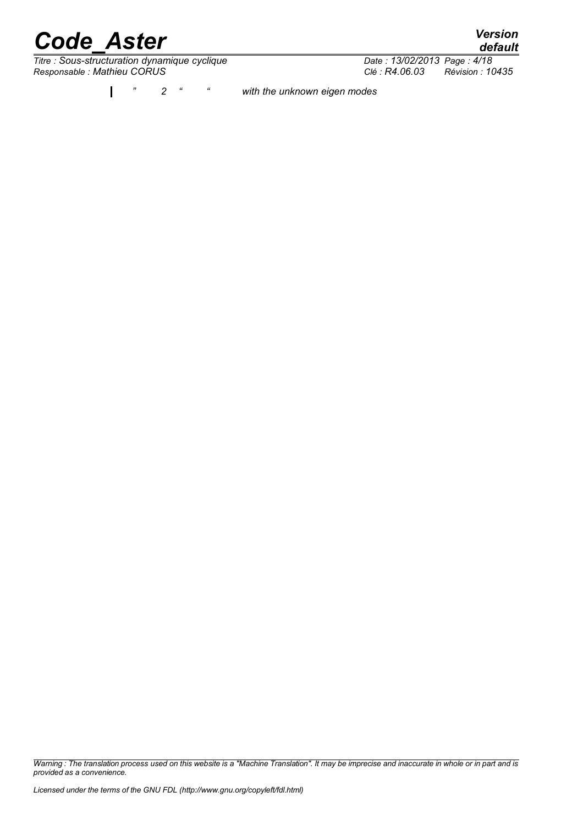*Titre : Sous-structuration dynamique cyclique*<br> *Date : 13/02/2013 Page : 4/18*<br> *Clé : R4.06.03 Révision : 10435 Responsable : Mathieu CORUS Clé : R4.06.03 Révision : 10435*

*" 2 " " with the unknown eigen modes*  $\mathbf{I}$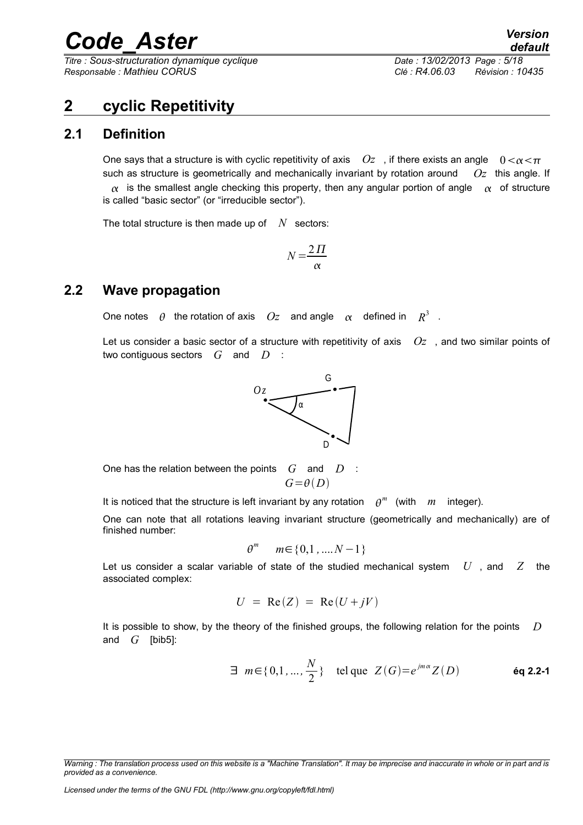*Titre : Sous-structuration dynamique cyclique Date : 13/02/2013 Page : 5/18 Responsable : Mathieu CORUS Clé : R4.06.03 Révision : 10435*

#### <span id="page-4-2"></span>**2 cyclic Repetitivity**

#### **2.1 Definition**

<span id="page-4-1"></span>One says that a structure is with cyclic repetitivity of axis  $Oz$ , if there exists an angle  $0 < \alpha < \pi$ such as structure is geometrically and mechanically invariant by rotation around *Oz* this angle. If  $\alpha$  is the smallest angle checking this property, then any angular portion of angle  $\alpha$  of structure is called "basic sector" (or "irreducible sector").

The total structure is then made up of  $N$  sectors:

$$
N = \frac{2\,\Pi}{\alpha}
$$

#### **2.2 Wave propagation**

<span id="page-4-0"></span>One notes  $\theta$  the rotation of axis  $Oz$  and angle  $\alpha$  defined in  $R^3$  .

Let us consider a basic sector of a structure with repetitivity of axis *Oz* , and two similar points of two contiguous sectors *G* and *D* :



One has the relation between the points *G* and *D* :  $G = \theta(D)$ 

It is noticed that the structure is left invariant by any rotation  $\rho^m$  (with  $m$  integer).

One can note that all rotations leaving invariant structure (geometrically and mechanically) are of finished number:

$$
\theta^m \quad m \in \{0, 1, \dots N - 1\}
$$

Let us consider a scalar variable of state of the studied mechanical system *U* , and *Z* the associated complex:

$$
U = \text{Re}(Z) = \text{Re}(U + jV)
$$

It is possible to show, by the theory of the finished groups, the following relation for the points *D* and *G* [bib5]:

$$
\exists m \in \{0, 1, ..., \frac{N}{2}\} \quad \text{tel que } Z(G) = e^{jm\alpha} Z(D) \qquad \text{Eq 2.2-1}
$$

*Warning : The translation process used on this website is a "Machine Translation". It may be imprecise and inaccurate in whole or in part and is provided as a convenience.*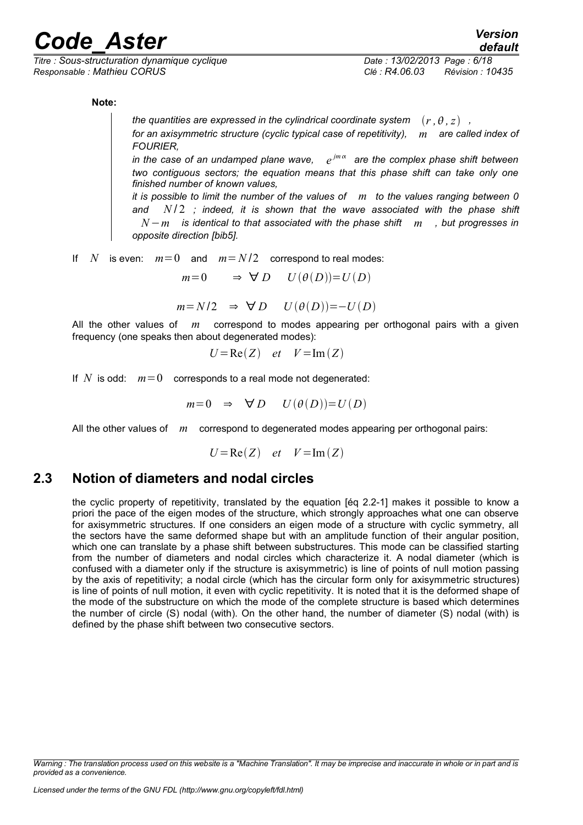*Titre : Sous-structuration dynamique cyclique Date : 13/02/2013 Page : 6/18 Responsable : Mathieu CORUS Clé : R4.06.03 Révision : 10435*

**Note:**

*the quantities are expressed in the cylindrical coordinate system*  $(r, \theta, z)$ ,

*for an axisymmetric structure (cyclic typical case of repetitivity), m are called index of FOURIER,* 

in the case of an undamped plane wave,  $e^{jm\alpha}$  are the complex phase shift between *two contiguous sectors; the equation means that this phase shift can take only one finished number of known values,* 

*it is possible to limit the number of the values of m to the values ranging between 0 and N* / 2 *; indeed, it is shown that the wave associated with the phase shift N*−*m is identical to that associated with the phase shift m , but progresses in opposite direction [bib5].*

If *N* is even:  $m=0$  and  $m=N/2$  correspond to real modes:

 $m=0$   $\Rightarrow \forall D$   $U(\theta(D))=U(D)$ 

 $m = N/2 \Rightarrow \forall D$  *U* $(\theta(D)) = -U(D)$ 

All the other values of *m* correspond to modes appearing per orthogonal pairs with a given frequency (one speaks then about degenerated modes):

$$
U = \text{Re}(Z) \quad et \quad V = \text{Im}(Z)
$$

If  $N$  is odd:  $m=0$  corresponds to a real mode not degenerated:

$$
m=0 \Rightarrow \forall D \quad U(\theta(D))=U(D)
$$

All the other values of *m* correspond to degenerated modes appearing per orthogonal pairs:

$$
U = \text{Re}(Z) \quad et \quad V = \text{Im}(Z)
$$

#### **2.3 Notion of diameters and nodal circles**

<span id="page-5-0"></span>the cyclic property of repetitivity, translated by the equation [éq 2.2-1] makes it possible to know a priori the pace of the eigen modes of the structure, which strongly approaches what one can observe for axisymmetric structures. If one considers an eigen mode of a structure with cyclic symmetry, all the sectors have the same deformed shape but with an amplitude function of their angular position, which one can translate by a phase shift between substructures. This mode can be classified starting from the number of diameters and nodal circles which characterize it. A nodal diameter (which is confused with a diameter only if the structure is axisymmetric) is line of points of null motion passing by the axis of repetitivity; a nodal circle (which has the circular form only for axisymmetric structures) is line of points of null motion, it even with cyclic repetitivity. It is noted that it is the deformed shape of the mode of the substructure on which the mode of the complete structure is based which determines the number of circle (S) nodal (with). On the other hand, the number of diameter (S) nodal (with) is defined by the phase shift between two consecutive sectors.

*Warning : The translation process used on this website is a "Machine Translation". It may be imprecise and inaccurate in whole or in part and is provided as a convenience.*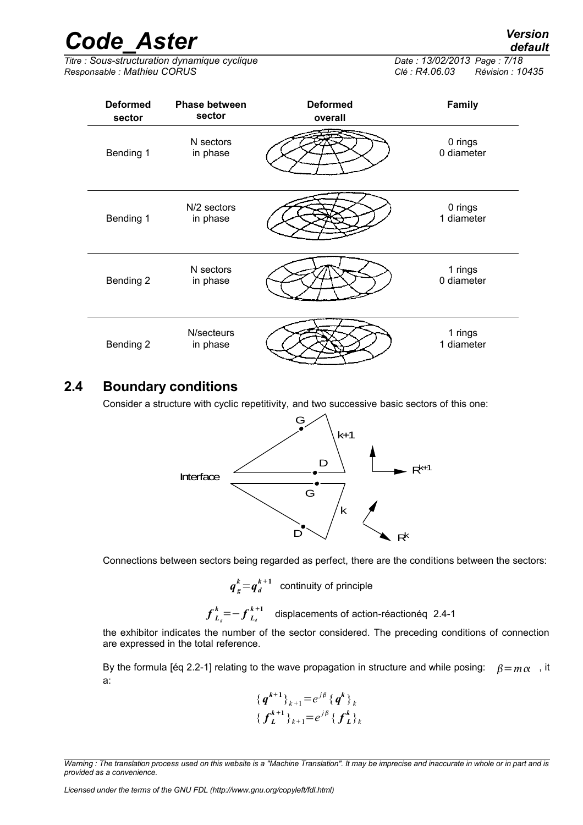*Titre : Sous-structuration dynamique cyclique Date : 13/02/2013 Page : 7/18 Responsable : Mathieu CORUS Clé : R4.06.03 Révision : 10435*

| <b>Deformed</b><br>sector | <b>Phase between</b><br>sector | <b>Deformed</b><br>overall | <b>Family</b>         |
|---------------------------|--------------------------------|----------------------------|-----------------------|
| Bending 1                 | N sectors<br>in phase          |                            | 0 rings<br>0 diameter |
| Bending 1                 | N/2 sectors<br>in phase        |                            | 0 rings<br>1 diameter |
| Bending 2                 | N sectors<br>in phase          |                            | 1 rings<br>0 diameter |
| Bending 2                 | N/secteurs<br>in phase         |                            | 1 rings<br>1 diameter |

#### **2.4 Boundary conditions**

<span id="page-6-0"></span>Consider a structure with cyclic repetitivity, and two successive basic sectors of this one:



Connections between sectors being regarded as perfect, there are the conditions between the sectors:

$$
q_s^k = q_d^{k+1}
$$
 continuity of principle

$$
f_{L_s}^k = -f_{L_s}^{k+1}
$$
 displacements of action-réactionéq 2.4-1

the exhibitor indicates the number of the sector considered. The preceding conditions of connection are expressed in the total reference.

By the formula [éq 2.2-1] relating to the wave propagation in structure and while posing:  $\beta = m\alpha$ , it a:

$$
{\{q^{k+1}\}}_{k+1} = e^{j\beta} {\{q^k\}}_k
$$
  

$$
{\{f_L^{k+1}\}}_{k+1} = e^{j\beta} {\{f_L^k\}}_k
$$

*Licensed under the terms of the GNU FDL (http://www.gnu.org/copyleft/fdl.html)*

*default*

*Warning : The translation process used on this website is a "Machine Translation". It may be imprecise and inaccurate in whole or in part and is provided as a convenience.*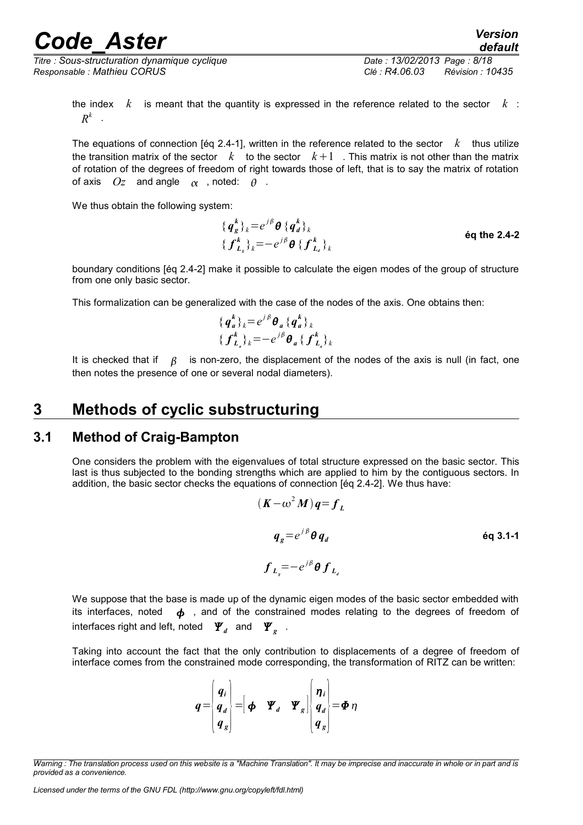*Titre : Sous-structuration dynamique cyclique Date : 13/02/2013 Page : 8/18 Responsable : Mathieu CORUS Clé : R4.06.03 Révision : 10435*

*default*

the index *k* is meant that the quantity is expressed in the reference related to the sector *k* :  $R^k$  .

The equations of connection [éq 2.4-1], written in the reference related to the sector  $k$  thus utilize the transition matrix of the sector  $k$  to the sector  $k+1$ . This matrix is not other than the matrix of rotation of the degrees of freedom of right towards those of left, that is to say the matrix of rotation of axis  $Oz$  and angle  $\alpha$  , noted:  $\theta$  .

We thus obtain the following system:

$$
{\begin{aligned}\n\{\boldsymbol{q}_{g}^{k}\}_{k} = e^{j\beta} \boldsymbol{\theta} \left\{\boldsymbol{q}_{d}^{k}\right\}_{k} \\
\{\boldsymbol{f}_{L_{g}}^{k}\}_{k} = -e^{j\beta} \boldsymbol{\theta} \left\{\boldsymbol{f}_{L_{d}}^{k}\right\}_{k}\n\end{aligned}\n\qquad \text{Eq the 2.4-2}
$$

boundary conditions [éq 2.4-2] make it possible to calculate the eigen modes of the group of structure from one only basic sector.

This formalization can be generalized with the case of the nodes of the axis. One obtains then:

$$
{\begin{aligned}\n\{\boldsymbol{q}_{a}^{k}\}_{k} &= e^{j\,\beta}\boldsymbol{\theta}_{a} \{\boldsymbol{q}_{a}^{k}\}_{k} \\
\{\boldsymbol{f}_{L_{a}}^{k}\}_{k} &= -e^{j\,\beta}\boldsymbol{\theta}_{a} \{\boldsymbol{f}_{L_{a}}^{k}\}_{k}\n\end{aligned}}
$$

It is checked that if  $\beta$  is non-zero, the displacement of the nodes of the axis is null (in fact, one then notes the presence of one or several nodal diameters).

#### <span id="page-7-1"></span>**3 Methods of cyclic substructuring**

#### **3.1 Method of Craig-Bampton**

<span id="page-7-0"></span>One considers the problem with the eigenvalues of total structure expressed on the basic sector. This last is thus subjected to the bonding strengths which are applied to him by the contiguous sectors. In addition, the basic sector checks the equations of connection [éq 2.4-2]. We thus have:

$$
(\mathbf{K} - \omega^2 \mathbf{M})\mathbf{q} = \mathbf{f}_L
$$
  
\n
$$
\mathbf{q}_g = e^{j\beta} \mathbf{\Theta} \mathbf{q}_d
$$
  
\n
$$
\mathbf{f}_{L_g} = -e^{j\beta} \mathbf{\Theta} \mathbf{f}_{L_g}
$$
  
\n
$$
\mathbf{f}_{L_g} = -e^{j\beta} \mathbf{\Theta} \mathbf{f}_{L_g}
$$

We suppose that the base is made up of the dynamic eigen modes of the basic sector embedded with its interfaces, noted  $\phi$ , and of the constrained modes relating to the degrees of freedom of interfaces right and left, noted  $\mathbf{\Psi}_d$  and  $\mathbf{\Psi}_g$  .

Taking into account the fact that the only contribution to displacements of a degree of freedom of interface comes from the constrained mode corresponding, the transformation of RITZ can be written:

$$
q = \begin{pmatrix} q_i \\ q_d \\ q_g \end{pmatrix} = \begin{pmatrix} \phi & \Psi_d & \Psi_g \end{pmatrix} \begin{pmatrix} \eta_i \\ q_d \\ q_g \end{pmatrix} = \Phi \eta
$$

*Warning : The translation process used on this website is a "Machine Translation". It may be imprecise and inaccurate in whole or in part and is provided as a convenience.*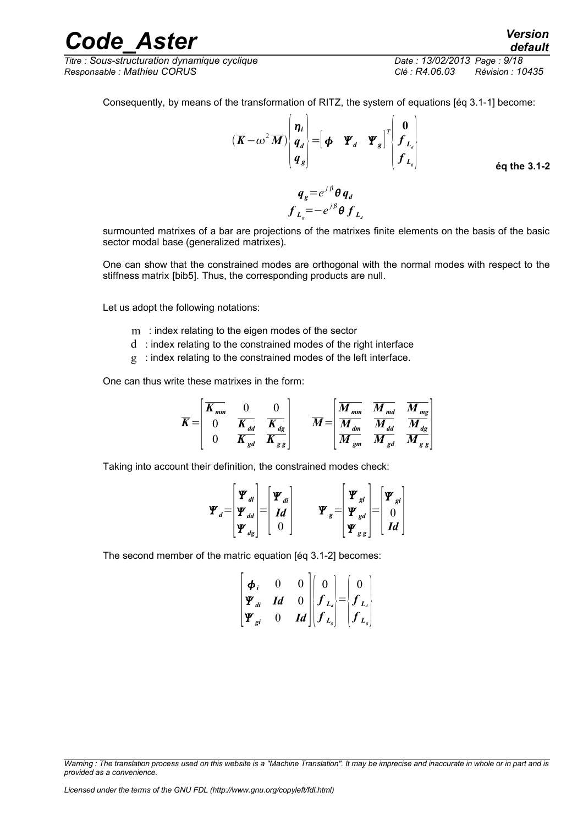*Titre : Sous-structuration dynamique cyclique Date : 13/02/2013 Page : 9/18 Responsable : Mathieu CORUS Clé : R4.06.03 Révision : 10435*

Consequently, by means of the transformation of RITZ, the system of equations [éq 3.1-1] become:

$$
(\overline{K} - \omega^2 \overline{M}) \begin{bmatrix} \eta_i \\ q_d \\ q_g \end{bmatrix} = \begin{bmatrix} \phi & \Psi_d & \Psi_g \end{bmatrix}^T \begin{bmatrix} 0 \\ f_{L_d} \\ f_{L_g} \end{bmatrix}
$$

$$
q_g = e^{i\beta} \theta q_d
$$

**éq the 3.1-2**

*default*

surmounted matrixes of a bar are projections of the matrixes finite elements on the basis of the basic sector modal base (generalized matrixes).

 $f_{L_{s}} = -e^{j\beta} \theta f_{L_{d}}$ 

One can show that the constrained modes are orthogonal with the normal modes with respect to the stiffness matrix [bib5]. Thus, the corresponding products are null.

Let us adopt the following notations:

- m : index relating to the eigen modes of the sector
- d : index relating to the constrained modes of the right interface
- g : index relating to the constrained modes of the left interface.

One can thus write these matrixes in the form:

$$
\overline{K} = \begin{bmatrix} \overline{K_{mm}} & 0 & 0 \\ 0 & \overline{K_{dd}} & \overline{K_{dg}} \\ 0 & \overline{K_{gd}} & \overline{K_{gg}} \end{bmatrix} \qquad \overline{M} = \begin{bmatrix} \overline{M_{mm}} & \overline{M_{md}} & \overline{M_{mg}} \\ \overline{M_{dm}} & \overline{M_{dd}} & \overline{M_{gg}} \\ \overline{M_{gm}} & \overline{M_{gd}} & \overline{M_{gg}} \end{bmatrix}
$$

Taking into account their definition, the constrained modes check:

$$
\boldsymbol{\Psi}_{d} = \begin{bmatrix} \boldsymbol{\Psi}_{di} \\ \boldsymbol{\Psi}_{dd} \\ \boldsymbol{\Psi}_{dg} \end{bmatrix} = \begin{bmatrix} \boldsymbol{\Psi}_{di} \\ \boldsymbol{Id} \\ 0 \end{bmatrix} \qquad \boldsymbol{\Psi}_{g} = \begin{bmatrix} \boldsymbol{\Psi}_{gi} \\ \boldsymbol{\Psi}_{gd} \\ \boldsymbol{\Psi}_{gg} \end{bmatrix} = \begin{bmatrix} \boldsymbol{\Psi}_{gi} \\ 0 \\ \boldsymbol{Id} \end{bmatrix}
$$

The second member of the matric equation [éq 3.1-2] becomes:

$$
\begin{bmatrix} \boldsymbol{\phi}_i & 0 & 0 \\ \boldsymbol{\Psi}_{di} & \boldsymbol{Id} & 0 \\ \boldsymbol{\Psi}_{gi} & 0 & \boldsymbol{Id} \end{bmatrix} \begin{bmatrix} 0 \\ \boldsymbol{f}_{L_i} \\ \boldsymbol{f}_{L_s} \end{bmatrix} = \begin{bmatrix} 0 \\ \boldsymbol{f}_{L_i} \\ \boldsymbol{f}_{L_s} \end{bmatrix}
$$

*Warning : The translation process used on this website is a "Machine Translation". It may be imprecise and inaccurate in whole or in part and is provided as a convenience.*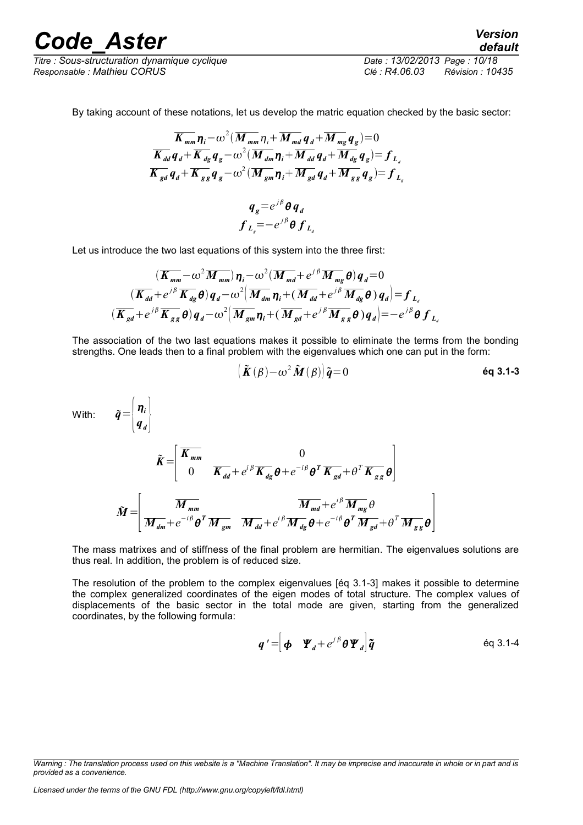*Titre : Sous-structuration dynamique cyclique Date : 13/02/2013 Page : 10/18 Responsable : Mathieu CORUS Clé : R4.06.03 Révision : 10435*

*default*

By taking account of these notations, let us develop the matric equation checked by the basic sector:

$$
\overline{K_{mm}} \eta_i - \omega^2 (\overline{M_{mm}} \eta_i + \overline{M_{md}} q_d + \overline{M_{mg}} q_g) = 0
$$
\n
$$
\overline{K_{dd}} q_d + \overline{K_{dg}} q_g - \omega^2 (\overline{M_{dm}} \eta_i + \overline{M_{dd}} q_d + \overline{M_{dg}} q_g) = f_{L_d}
$$
\n
$$
\overline{K_{gd}} q_d + \overline{K_{gg}} q_g - \omega^2 (\overline{M_{gm}} \eta_i + \overline{M_{gd}} q_d + \overline{M_{gg}} q_g) = f_{L_g}
$$
\n
$$
q_g = e^{j\beta} \theta q_d
$$
\n
$$
f_{L_g} = -e^{j\beta} \theta f_{L_d}
$$

Let us introduce the two last equations of this system into the three first:

$$
\begin{aligned}\n & (\overline{K_{mm}} - \omega^2 \overline{M_{mm}}) \eta_i - \omega^2 (\overline{M_{md}} + e^{j\beta} \overline{M_{mg}} \theta) q_d = 0 \\
 & (\overline{K_{dd}} + e^{j\beta} \overline{K_{dg}} \theta) q_d - \omega^2 (\overline{M_{dm}} \eta_i + (\overline{M_{dd}} + e^{j\beta} \overline{M_{dg}} \theta) q_d) = f_{L_d} \\
 & (\overline{K_{gd}} + e^{j\beta} \overline{K_{gg}} \theta) q_d - \omega^2 (\overline{M_{gm}} \eta_i + (\overline{M_{gd}} + e^{j\beta} \overline{M_{gg}} \theta) q_d) = -e^{j\beta} \theta f_{L_d}\n \end{aligned}
$$

The association of the two last equations makes it possible to eliminate the terms from the bonding strengths. One leads then to a final problem with the eigenvalues which one can put in the form:

$$
\left( \tilde{\boldsymbol{K}}(\boldsymbol{\beta}) - \boldsymbol{\omega}^2 \tilde{\boldsymbol{M}}(\boldsymbol{\beta}) \right) \tilde{\boldsymbol{q}} = 0
$$

With: *q*={

$$
\tilde{q} = \begin{bmatrix} \eta_i \\ q_d \end{bmatrix}
$$

$$
\tilde{K} = \begin{bmatrix} \overline{K_{mm}} & 0 \\ 0 & \overline{K_{dd}} + e^{i\beta} \overline{K_{dg}} \theta + e^{-i\beta} \theta^T \overline{K_{gd}} + \theta^T \overline{K_{gg}} \theta \end{bmatrix}
$$

$$
\tilde{M} = \begin{bmatrix} \overline{M_{mm}} & \overline{M_{md}} + e^{i\beta} \overline{M_{gg}} \theta \\ \overline{M_{dm}} + e^{-i\beta} \theta^T \overline{M_{gm}} & \overline{M_{dd}} + e^{i\beta} \overline{M_{dg}} \theta + e^{-i\beta} \theta^T \overline{M_{gd}} + \theta^T \overline{M_{gg}} \theta \end{bmatrix}
$$

The mass matrixes and of stiffness of the final problem are hermitian. The eigenvalues solutions are thus real. In addition, the problem is of reduced size.

The resolution of the problem to the complex eigenvalues [éq 3.1-3] makes it possible to determine the complex generalized coordinates of the eigen modes of total structure. The complex values of displacements of the basic sector in the total mode are given, starting from the generalized coordinates, by the following formula:

$$
\boldsymbol{q}' = \begin{bmatrix} \boldsymbol{\phi} & \boldsymbol{\Psi}_d + e^{j\beta} \boldsymbol{\theta} \boldsymbol{\Psi}_d \end{bmatrix} \boldsymbol{\tilde{q}} \qquad \qquad \text{eq 3.1-4}
$$

*Warning : The translation process used on this website is a "Machine Translation". It may be imprecise and inaccurate in whole or in part and is provided as a convenience.*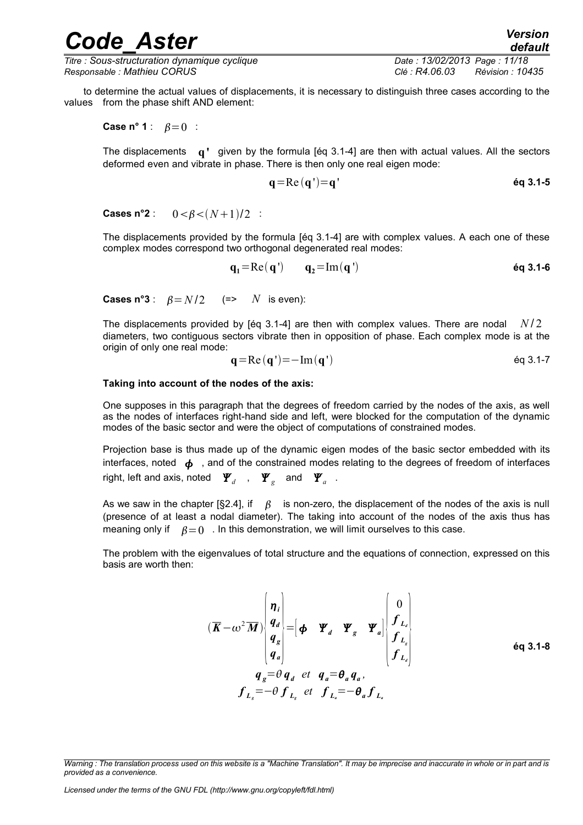*Titre : Sous-structuration dynamique cyclique Date : 13/02/2013 Page : 11/18 Responsable : Mathieu CORUS Clé : R4.06.03 Révision : 10435*

*default*

to determine the actual values of displacements, it is necessary to distinguish three cases according to the values from the phase shift AND element:

**Case n° 1** :  $\beta = 0$  :

The displacements **q'** given by the formula [éq 3.1-4] are then with actual values. All the sectors deformed even and vibrate in phase. There is then only one real eigen mode:

$$
\mathbf{q} = \mathbf{Re}\left(\mathbf{q}\right) = \mathbf{q'}
$$

**Cases n°2** :  $0 < B < (N+1)/2$  :

The displacements provided by the formula [éq 3.1-4] are with complex values. A each one of these complex modes correspond two orthogonal degenerated real modes:

$$
\mathbf{q}_1 = \text{Re}(\mathbf{q}') \qquad \mathbf{q}_2 = \text{Im}(\mathbf{q}')
$$
éq 3.1-6

**Cases n°3** :  $\beta = N/2$  (=> *N* is even):

The displacements provided by [éq 3.1-4] are then with complex values. There are nodal *N/2* diameters, two contiguous sectors vibrate then in opposition of phase. Each complex mode is at the origin of only one real mode:

$$
\mathbf{q} = \text{Re}(\mathbf{q}) = -\text{Im}(\mathbf{q})\tag{6q 3.1-7}
$$

#### **Taking into account of the nodes of the axis:**

One supposes in this paragraph that the degrees of freedom carried by the nodes of the axis, as well as the nodes of interfaces right-hand side and left, were blocked for the computation of the dynamic modes of the basic sector and were the object of computations of constrained modes.

Projection base is thus made up of the dynamic eigen modes of the basic sector embedded with its interfaces, noted  $\phi$ , and of the constrained modes relating to the degrees of freedom of interfaces right, left and axis, noted  $\left| \mathbf{\Psi}_a \right|$  ,  $\left| \mathbf{\Psi}_s \right|$  and  $\left| \mathbf{\Psi}_a \right|$  .

As we saw in the chapter [§2.4], if  $\beta$  is non-zero, the displacement of the nodes of the axis is null (presence of at least a nodal diameter). The taking into account of the nodes of the axis thus has meaning only if  $\beta = 0$ . In this demonstration, we will limit ourselves to this case.

The problem with the eigenvalues of total structure and the equations of connection, expressed on this basis are worth then:

$$
\begin{aligned}\n(\overline{K} - \omega^2 \overline{M}) \begin{pmatrix} \eta_i \\ q_d \\ q_g \\ q_g \end{pmatrix} &= \begin{bmatrix} \phi & \Psi_a & \Psi_g & \Psi_a \end{bmatrix} \begin{bmatrix} 0 \\ f_{L_a} \\ f_{L_g} \\ f_{L_g} \end{bmatrix} \\
q_g &= \theta \, q_d \quad \text{et} \quad q_a = \theta_a \, q_a, \\
f_{L_s} &= -\theta \, f_{L_s} \quad \text{et} \quad f_{L_s} = -\theta_a \, f_{L_s}\n\end{aligned}\n\tag{6q 3.1-8}
$$

*Warning : The translation process used on this website is a "Machine Translation". It may be imprecise and inaccurate in whole or in part and is provided as a convenience.*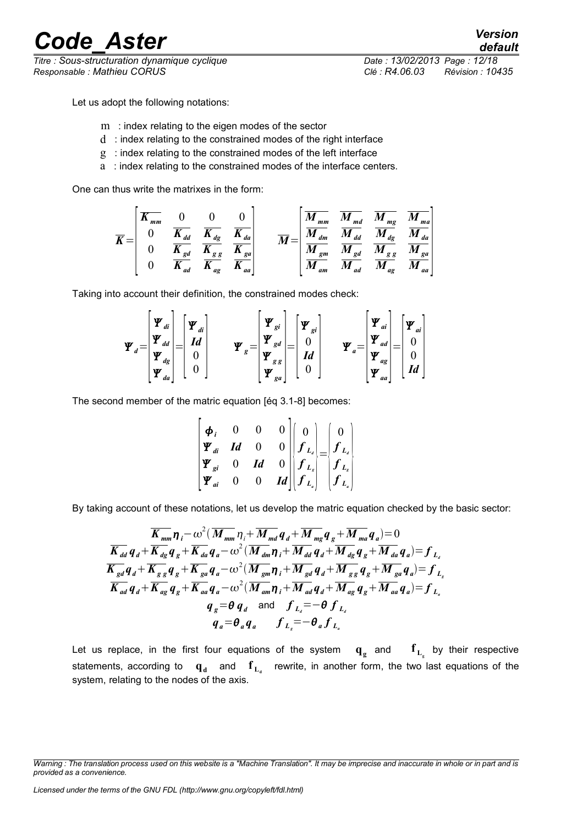*Titre : Sous-structuration dynamique cyclique Date : 13/02/2013 Page : 12/18 Responsable : Mathieu CORUS Clé : R4.06.03 Révision : 10435*

*default*

Let us adopt the following notations:

- m : index relating to the eigen modes of the sector
- d : index relating to the constrained modes of the right interface
- g : index relating to the constrained modes of the left interface
- a : index relating to the constrained modes of the interface centers.

One can thus write the matrixes in the form:

$$
\overline{K} = \begin{bmatrix} \overline{K_{mm}} & 0 & 0 & 0 \\ 0 & \overline{K_{dd}} & \overline{K_{dg}} & \overline{K_{da}} \\ 0 & \overline{K_{gd}} & \overline{K_{gg}} & \overline{K_{ga}} \\ 0 & \overline{K_{ad}} & \overline{K_{ag}} & \overline{K_{aa}} \end{bmatrix} \qquad \overline{M} = \begin{bmatrix} \overline{M_{mm}} & \overline{M_{md}} & \overline{M_{mg}} & \overline{M_{ma}} \\ \overline{M_{dm}} & \overline{M_{dd}} & \overline{M_{gg}} & \overline{M_{aa}} \\ \overline{M_{gm}} & \overline{M_{gd}} & \overline{M_{gg}} & \overline{M_{ga}} \\ \overline{M_{am}} & \overline{M_{ad}} & \overline{M_{ag}} & \overline{M_{aa}} \end{bmatrix}
$$

Taking into account their definition, the constrained modes check:

$$
\boldsymbol{\varPsi}_{d} = \begin{bmatrix} \boldsymbol{\varPsi}_{di} \\ \boldsymbol{\varPsi}_{dd} \\ \boldsymbol{\varPsi}_{dg} \\ \boldsymbol{\varPsi}_{da} \end{bmatrix} = \begin{bmatrix} \boldsymbol{\varPsi}_{di} \\ \boldsymbol{Id} \\ 0 \\ 0 \end{bmatrix} \qquad \boldsymbol{\varPsi}_{g} = \begin{bmatrix} \boldsymbol{\varPsi}_{gi} \\ \boldsymbol{\varPsi}_{gd} \\ \boldsymbol{\varPsi}_{gg} \\ \boldsymbol{\varPsi}_{ga} \end{bmatrix} = \begin{bmatrix} \boldsymbol{\varPsi}_{gi} \\ 0 \\ \boldsymbol{Id} \\ 0 \end{bmatrix} \qquad \boldsymbol{\varPsi}_{a} = \begin{bmatrix} \boldsymbol{\varPsi}_{ai} \\ \boldsymbol{\varPsi}_{ad} \\ \boldsymbol{\varPsi}_{ag} \\ \boldsymbol{\varPsi}_{aa} \end{bmatrix} = \begin{bmatrix} \boldsymbol{\varPsi}_{ai} \\ 0 \\ 0 \\ \boldsymbol{\varPsi}_{aa} \end{bmatrix}
$$

The second member of the matric equation [éq 3.1-8] becomes:

$$
\begin{bmatrix}\n\boldsymbol{\phi}_i & 0 & 0 & 0 \\
\boldsymbol{\Psi}_{di} & \boldsymbol{Id} & 0 & 0 \\
\boldsymbol{\Psi}_{gi} & 0 & \boldsymbol{Id} & 0 \\
\boldsymbol{\Psi}_{gi} & 0 & 0 & \boldsymbol{Id}\n\end{bmatrix}\n\begin{bmatrix}\n0 \\
\boldsymbol{f}_{L_a} \\
\boldsymbol{f}_{L_s} \\
\boldsymbol{f}_{L_s}\n\end{bmatrix}\n=\n\begin{bmatrix}\n0 \\
\boldsymbol{f}_{L_d} \\
\boldsymbol{f}_{L_s} \\
\boldsymbol{f}_{L_s}\n\end{bmatrix}
$$

By taking account of these notations, let us develop the matric equation checked by the basic sector:

$$
\frac{\overline{K}_{mm}}{K_{dd}} \eta_{i} - \omega^{2} (\overline{M}_{mm} \eta_{i} + \overline{M}_{md} \, q_{d} + \overline{M}_{mg} \, q_{g} + \overline{M}_{ma} \, q_{d}) = 0
$$
\n
$$
\frac{\overline{K}_{dd}}{K_{dd}} \, q_{d} + \overline{K_{gg}} \, q_{g} + \overline{K_{da}} \, q_{a} - \omega^{2} (\overline{M}_{dm} \, \eta_{i} + \overline{M}_{dd} \, q_{d} + \overline{M}_{gg} \, q_{g} + \overline{M}_{da} \, q_{a}) = f_{L_{a}}
$$
\n
$$
\frac{\overline{K}_{gd}}{K_{gd}} \, q_{d} + \overline{K_{gg}} \, q_{g} + \overline{K_{ga}} \, q_{a} - \omega^{2} (\overline{M}_{gm} \, \eta_{i} + \overline{M}_{gd} \, q_{d} + \overline{M}_{gg} \, q_{g} + \overline{M}_{ga} \, q_{a}) = f_{L_{g}}
$$
\n
$$
\frac{\overline{K}_{ad}}{K_{ad}} \, q_{d} + \overline{K_{ag}} \, q_{g} + \overline{K_{aa}} \, q_{a} - \omega^{2} (\overline{M}_{am} \, \eta_{i} + \overline{M}_{ad} \, q_{d} + \overline{M}_{ag} \, q_{g} + \overline{M}_{aa} \, q_{a}) = f_{L_{a}}
$$
\n
$$
q_{g} = \theta \, q_{d} \quad \text{and} \quad f_{L_{a}} = -\theta \, f_{L_{a}}
$$
\n
$$
q_{a} = \theta_{a} \, q_{a} \quad f_{L_{a}} = -\theta_{a} \, f_{L_{a}}
$$

Let us replace, in the first four equations of the system  $\mathbf{q}_{\rm g}$  and  $\mathbf{f}_{\rm L_{\rm g}}$  by their respective statements, according to  $\mathbf{q}_{\mathbf{d}}$  and  $\mathbf{f}_{\mathbf{L}_{\mathbf{d}}}$  rewrite, in another form, the two last equations of the system, relating to the nodes of the axis.

*Warning : The translation process used on this website is a "Machine Translation". It may be imprecise and inaccurate in whole or in part and is provided as a convenience.*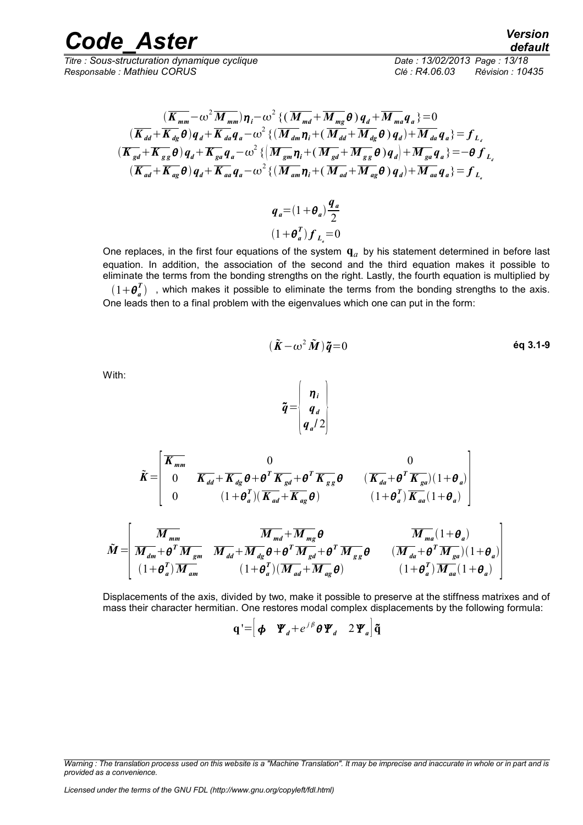*Titre : Sous-structuration dynamique cyclique Date : 13/02/2013 Page : 13/18 Responsable : Mathieu CORUS Clé : R4.06.03 Révision : 10435*

$$
\frac{(\overline{K}_{mm}-\omega^2 \overline{M}_{mm})\eta_i - \omega^2 \{(\overline{M}_{md} + \overline{M}_{mg}\theta)q_d + \overline{M}_{ma}q_a\} = 0}{(\overline{K}_{dd} + \overline{K}_{dg}\theta)q_d + \overline{K}_{da}q_a - \omega^2 \{(\overline{M}_{dm}\eta_i + (\overline{M}_{dd} + \overline{M}_{dg}\theta)q_d\} + \overline{M}_{da}q_a\} = f_{L_d}
$$
\n
$$
(\overline{K}_{gd} + \overline{K}_{gg}\theta)q_d + \overline{K}_{ga}q_a - \omega^2 \{(\overline{M}_{gm}\eta_i + (\overline{M}_{gd} + \overline{M}_{gg}\theta)q_d\} + \overline{M}_{ga}q_a\} = -\theta f_{L_d}
$$
\n
$$
(\overline{K}_{ad} + \overline{K}_{ag}\theta)q_d + \overline{K}_{aa}q_a - \omega^2 \{(\overline{M}_{am}\eta_i + (\overline{M}_{ad} + \overline{M}_{ag}\theta)q_d\} + \overline{M}_{aa}q_a\} = f_{L_a}
$$

$$
q_a = (1 + \theta_a) \frac{q_a}{2}
$$

$$
(1 + \theta_a^T) f_{L_a} = 0
$$

One replaces, in the first four equations of the system  $\mathbf{q}_a$  by his statement determined in before last equation. In addition, the association of the second and the third equation makes it possible to eliminate the terms from the bonding strengths on the right. Lastly, the fourth equation is multiplied by

 $(1+\bm{\theta}_a^T)$  , which makes it possible to eliminate the terms from the bonding strengths to the axis. One leads then to a final problem with the eigenvalues which one can put in the form:

$$
(\tilde{\boldsymbol{K}} - \omega^2 \tilde{\boldsymbol{M}}) \tilde{\boldsymbol{q}} = 0 \qquad \qquad \text{6q 3.1-9}
$$

With:

$$
\tilde{\boldsymbol{q}} = \begin{bmatrix} \boldsymbol{\eta}_i \\ \boldsymbol{q}_d \\ \boldsymbol{q}_a/2 \end{bmatrix}
$$

$$
\tilde{M} = \begin{bmatrix}\n\overline{K_{mm}} & 0 & 0 \\
0 & \overline{K_{dd}} + \overline{K_{dg}} \theta + \theta^T \overline{K_{gd}} + \theta^T \overline{K_{gg}} \theta & (\overline{K_{da}} + \theta^T \overline{K_{ga}})(1 + \theta_a) \\
0 & (1 + \theta_a^T)(\overline{K_{ad}} + \overline{K_{ag}} \theta) & (1 + \theta_a^T)\overline{K_{aa}}(1 + \theta_a)\n\end{bmatrix}
$$
\n
$$
\tilde{M} = \begin{bmatrix}\n\overline{M_{mm}} & \overline{M_{md}} + \overline{M_{dg}} \theta + \theta^T \overline{M_{gg}} + \theta^T \overline{M_{gg}} & \overline{M_{ma}}(1 + \theta_a) \\
\overline{M_{dm}} + \theta^T \overline{M_{gm}} & \overline{M_{dd}} + \overline{M_{dg}} \theta + \theta^T \overline{M_{gd}} + \theta^T \overline{M_{gg}} \theta & (\overline{M_{da}} + \theta^T \overline{M_{ga}})(1 + \theta_a) \\
(1 + \theta_a^T)\overline{M_{am}} & (1 + \theta_a^T)(\overline{M_{ad}} + \overline{M_{ag}} \theta) & (1 + \theta_a^T)\overline{M_{aa}}(1 + \theta_a)\n\end{bmatrix}
$$

Displacements of the axis, divided by two, make it possible to preserve at the stiffness matrixes and of mass their character hermitian. One restores modal complex displacements by the following formula:

$$
\mathbf{q'} = \begin{bmatrix} \boldsymbol{\phi} & \boldsymbol{\Psi}_d + e^{j\beta} \boldsymbol{\theta} \boldsymbol{\Psi}_d & 2 \boldsymbol{\Psi}_a \end{bmatrix} \tilde{\mathbf{q}}
$$

*Code\_Aster Version default*

*Warning : The translation process used on this website is a "Machine Translation". It may be imprecise and inaccurate in whole or in part and is provided as a convenience.*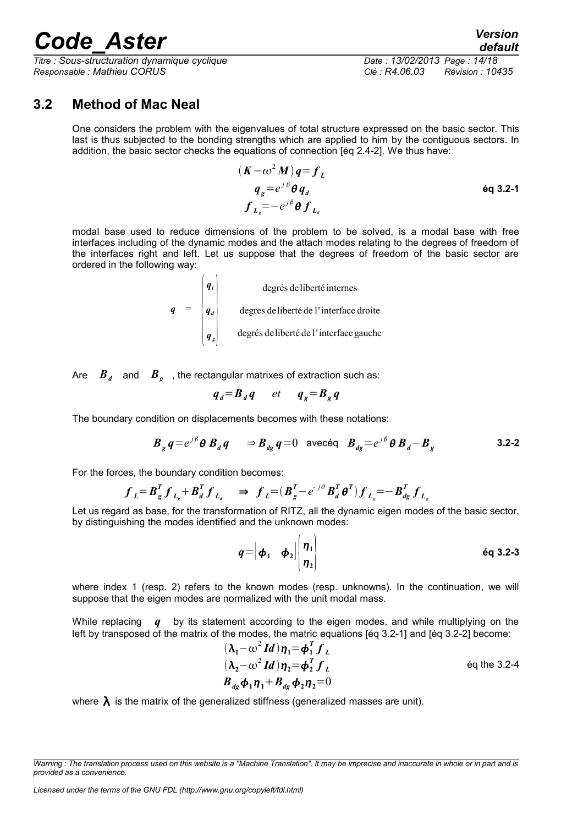*Titre : Sous-structuration dynamique cyclique Date : 13/02/2013 Page : 14/18 Responsable : Mathieu CORUS Clé : R4.06.03 Révision : 10435*

### *default*

#### **3.2 Method of Mac Neal**

<span id="page-13-0"></span>One considers the problem with the eigenvalues of total structure expressed on the basic sector. This last is thus subjected to the bonding strengths which are applied to him by the contiguous sectors. In addition, the basic sector checks the equations of connection [éq 2.4-2]. We thus have:

$$
(\mathbf{K} - \omega^2 \mathbf{M})\mathbf{q} = \mathbf{f}_L
$$
  
\n
$$
\mathbf{q}_g = e^{j\beta} \mathbf{\theta} \mathbf{q}_d
$$
  
\n
$$
\mathbf{f}_{L_g} = -e^{j\beta} \mathbf{\theta} \mathbf{f}_{L_g}
$$

modal base used to reduce dimensions of the problem to be solved, is a modal base with free interfaces including of the dynamic modes and the attach modes relating to the degrees of freedom of the interfaces right and left. Let us suppose that the degrees of freedom of the basic sector are ordered in the following way:

q = 
$$
\begin{pmatrix} q_i \\ q_d \\ q_g \end{pmatrix}
$$
 degrees deliberté de l'interface droite  
degrees deliberté de l'interface gauche

Are  $\|\bm{B}_d\|$  and  $\|\bm{B}_g\|$  , the rectangular matrixes of extraction such as:

$$
q_d = B_d q \qquad et \qquad q_g = B_g q
$$

The boundary condition on displacements becomes with these notations:

$$
\boldsymbol{B}_g \, \boldsymbol{q} = e^{j\beta} \boldsymbol{\theta} \, \boldsymbol{B}_d \, \boldsymbol{q} \qquad \Rightarrow \boldsymbol{B}_{dg} \, \boldsymbol{q} = 0 \quad \text{avecq} \quad \boldsymbol{B}_{dg} = e^{j\beta} \boldsymbol{\theta} \, \boldsymbol{B}_d - \boldsymbol{B}_g \tag{3.2-2}
$$

For the forces, the boundary condition becomes:

$$
f_{L} = B_{g}^{T} f_{L_{g}} + B_{d}^{T} f_{L_{d}} \Rightarrow f_{L} = (B_{g}^{T} - e^{-j\theta} B_{d}^{T} \theta^{T}) f_{L_{g}} = -B_{dg}^{T} f_{L_{g}}
$$

Let us regard as base, for the transformation of RITZ, all the dynamic eigen modes of the basic sector, by distinguishing the modes identified and the unknown modes:

$$
q = \begin{bmatrix} \boldsymbol{\phi}_1 & \boldsymbol{\phi}_2 \end{bmatrix} \begin{bmatrix} \boldsymbol{\eta}_1 \\ \boldsymbol{\eta}_2 \end{bmatrix}
$$

where index 1 (resp. 2) refers to the known modes (resp. unknowns). In the continuation, we will suppose that the eigen modes are normalized with the unit modal mass.

While replacing *q* by its statement according to the eigen modes, and while multiplying on the left by transposed of the matrix of the modes, the matric equations [éq 3.2-1] and [éq 3.2-2] become:

$$
(\lambda_1 - \omega^2 \mathbf{I} \mathbf{d}) \eta_1 = \boldsymbol{\phi}_1^T \boldsymbol{f}_L
$$
  
\n
$$
(\lambda_2 - \omega^2 \mathbf{I} \mathbf{d}) \eta_2 = \boldsymbol{\phi}_2^T \boldsymbol{f}_L
$$
  
\n
$$
\boldsymbol{B}_{dg} \boldsymbol{\phi}_1 \eta_1 + \boldsymbol{B}_{dg} \boldsymbol{\phi}_2 \eta_2 = 0
$$
  
\n
$$
\text{Eq the 3.2-4}
$$

where  $\lambda$  is the matrix of the generalized stiffness (generalized masses are unit).

*Warning : The translation process used on this website is a "Machine Translation". It may be imprecise and inaccurate in whole or in part and is provided as a convenience.*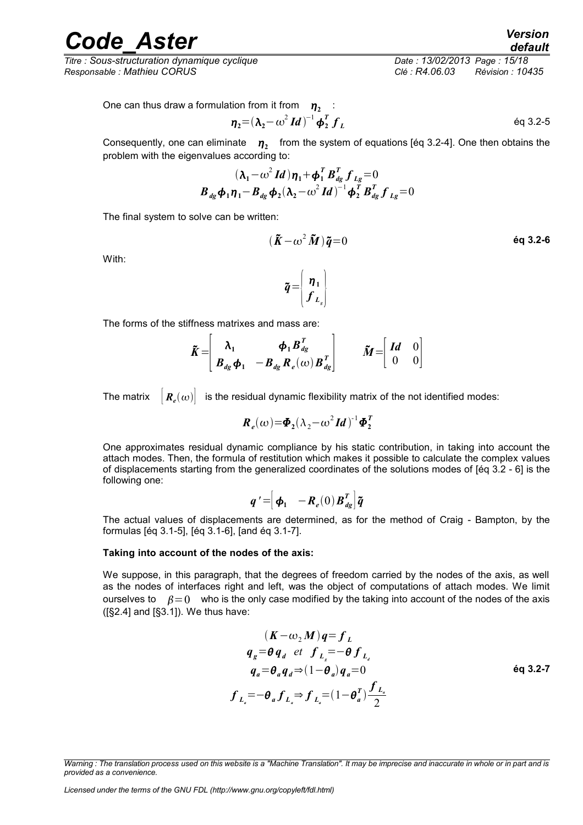*Titre : Sous-structuration dynamique cyclique Date : 13/02/2013 Page : 15/18 Responsable : Mathieu CORUS Clé : R4.06.03 Révision : 10435*

One can thus draw a formulation from it from 
$$
\eta_2
$$

ation from it from 
$$
\eta_2
$$
:  
\n
$$
\eta_2 = (\lambda_2 - \omega^2 \, Id)^{-1} \phi_2^T \, f_L
$$
\n
$$
\qquad \qquad \text{Eq 3.2-5}
$$

Consequently, one can eliminate  $\eta_2$  from the system of equations [éq 3.2-4]. One then obtains the problem with the eigenvalues according to:

$$
(\lambda_1 - \omega^2 \, Id) \eta_1 + \phi_1^T \, B_{dg}^T \, f_{Lg} = 0
$$
  

$$
B_{dg} \phi_1 \eta_1 - B_{dg} \phi_2 (\lambda_2 - \omega^2 \, Id)^{-1} \phi_2^T \, B_{dg}^T \, f_{Lg} = 0
$$

The final system to solve can be written:

$$
(\tilde{\boldsymbol{K}} - \omega^2 \tilde{\boldsymbol{M}}) \tilde{\boldsymbol{q}} = 0 \qquad \qquad \text{6q 3.2-6}
$$

With:

$$
\widetilde{\boldsymbol{q}} = \begin{bmatrix} \boldsymbol{\eta}_1 \\ \boldsymbol{f}_{L_s} \end{bmatrix}
$$

The forms of the stiffness matrixes and mass are:

$$
\tilde{K} = \begin{bmatrix} \lambda_1 & \phi_1 B_{dg}^T \\ B_{dg} \phi_1 & -B_{dg} R_e(\omega) B_{dg}^T \end{bmatrix} \qquad \tilde{M} = \begin{bmatrix} Id & 0 \\ 0 & 0 \end{bmatrix}
$$

The matrix  $|\mathbf{R}_e(\omega)|$ is the residual dynamic flexibility matrix of the not identified modes:

$$
R_e(\omega) = \Phi_2(\lambda_2 - \omega^2 \mathit{Id})^{-1} \Phi_2^T
$$

One approximates residual dynamic compliance by his static contribution, in taking into account the attach modes. Then, the formula of restitution which makes it possible to calculate the complex values of displacements starting from the generalized coordinates of the solutions modes of [éq 3.2 - 6] is the following one:

$$
\boldsymbol{q}' = \begin{bmatrix} \boldsymbol{\phi}_1 & -\boldsymbol{R}_e(0) \boldsymbol{B}_{dg}^T \end{bmatrix} \boldsymbol{\tilde{q}}
$$

The actual values of displacements are determined, as for the method of Craig - Bampton, by the formulas [éq 3.1-5], [éq 3.1-6], [and éq 3.1-7].

#### **Taking into account of the nodes of the axis:**

We suppose, in this paragraph, that the degrees of freedom carried by the nodes of the axis, as well as the nodes of interfaces right and left, was the object of computations of attach modes. We limit ourselves to  $\beta = 0$  who is the only case modified by the taking into account of the nodes of the axis ([§2.4] and [§3.1]). We thus have:

$$
(K - \omega_2 M) q = f_L
$$
  
\n
$$
q_g = \theta q_d \text{ et } f_{L_g} = -\theta f_{L_d}
$$
  
\n
$$
q_a = \theta_a q_d \Rightarrow (1 - \theta_a) q_a = 0
$$
  
\n
$$
f_{L_a} = -\theta_a f_{L_a} \Rightarrow f_{L_a} = (1 - \theta_a^T) \frac{f_{L_a}}{2}
$$
  
\n
$$
(K - \omega_2 M) q = f_L
$$
  
\n
$$
\epsilon q = 3.2 - 7
$$

*Warning : The translation process used on this website is a "Machine Translation". It may be imprecise and inaccurate in whole or in part and is provided as a convenience.*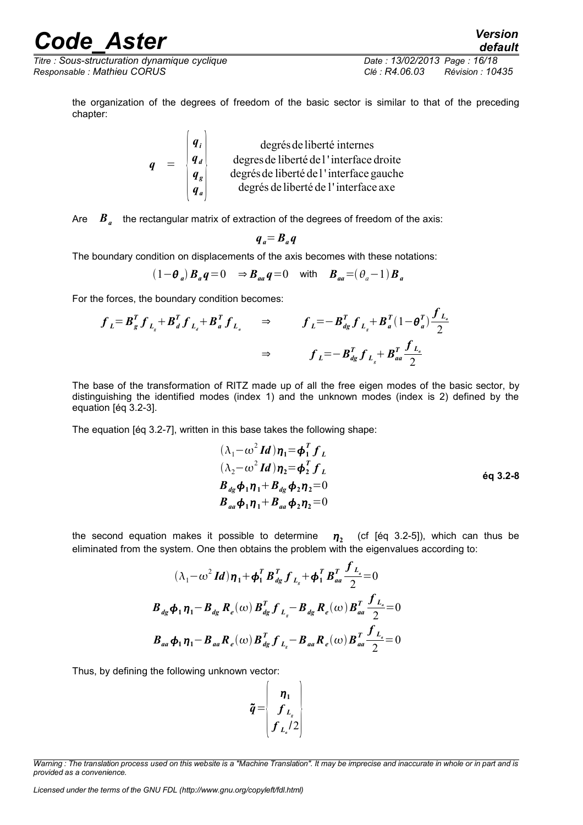*Titre : Sous-structuration dynamique cyclique Date : 13/02/2013 Page : 16/18 Responsable : Mathieu CORUS Clé : R4.06.03 Révision : 10435*

*default*

*f La*

the organization of the degrees of freedom of the basic sector is similar to that of the preceding chapter:

$$
q = \begin{pmatrix} q_i \\ q_d \\ q_s \\ q_a \end{pmatrix}
$$
 degrees de liberté de l' interface droite  
degrees de liberté de l'interface gauche  
degrés de liberté de l'interface axehe

Are  $\| \boldsymbol{B}_a \|$  the rectangular matrix of extraction of the degrees of freedom of the axis:

$$
q_a = B_a q
$$

The boundary condition on displacements of the axis becomes with these notations:

$$
(1 - \theta_a) \mathbf{B}_a \mathbf{q} = 0 \Rightarrow \mathbf{B}_{aa} \mathbf{q} = 0 \quad \text{with} \quad \mathbf{B}_{aa} = (\theta_a - 1) \mathbf{B}_a
$$

For the forces, the boundary condition becomes:

$$
f_{L} = B_{g}^{T} f_{L_{g}} + B_{d}^{T} f_{L_{d}} + B_{a}^{T} f_{L_{a}} \Rightarrow f_{L} = -B_{dg}^{T} f_{L_{g}} + B_{a}^{T} (1 - \theta_{a}^{T}) \frac{J_{L_{a}}}{2}
$$

$$
\Rightarrow f_{L} = -B_{dg}^{T} f_{L_{g}} + B_{aa}^{T} \frac{f_{L_{a}}}{2}
$$

The base of the transformation of RITZ made up of all the free eigen modes of the basic sector, by distinguishing the identified modes (index 1) and the unknown modes (index is 2) defined by the equation [éq 3.2-3].

The equation [éq 3.2-7], written in this base takes the following shape:

$$
(\lambda_1 - \omega^2 \, Id) \eta_1 = \phi_1^T \, f_L
$$
  
\n
$$
(\lambda_2 - \omega^2 \, Id) \eta_2 = \phi_2^T \, f_L
$$
  
\n
$$
B_{dg} \phi_1 \eta_1 + B_{dg} \phi_2 \eta_2 = 0
$$
  
\n
$$
B_{aa} \phi_1 \eta_1 + B_{aa} \phi_2 \eta_2 = 0
$$
  
\n
$$
(3.2-8)
$$

the second equation makes it possible to determine **<sup>2</sup>**  $\eta$ , (cf [éq 3.2-5]), which can thus be eliminated from the system. One then obtains the problem with the eigenvalues according to:

$$
(\lambda_1 - \omega^2 \mathbf{I} \mathbf{d}) \eta_1 + \boldsymbol{\phi}_1^T \boldsymbol{B}_{dg}^T \boldsymbol{f}_{L_s} + \boldsymbol{\phi}_1^T \boldsymbol{B}_{aa}^T \frac{\boldsymbol{f}_{L_a}}{2} = 0
$$
  

$$
\boldsymbol{B}_{dg} \boldsymbol{\phi}_1 \eta_1 - \boldsymbol{B}_{dg} \boldsymbol{R}_e(\omega) \boldsymbol{B}_{dg}^T \boldsymbol{f}_{L_s} - \boldsymbol{B}_{dg} \boldsymbol{R}_e(\omega) \boldsymbol{B}_{aa}^T \frac{\boldsymbol{f}_{L_a}}{2} = 0
$$
  

$$
\boldsymbol{B}_{aa} \boldsymbol{\phi}_1 \eta_1 - \boldsymbol{B}_{aa} \boldsymbol{R}_e(\omega) \boldsymbol{B}_{dg}^T \boldsymbol{f}_{L_s} - \boldsymbol{B}_{aa} \boldsymbol{R}_e(\omega) \boldsymbol{B}_{aa}^T \frac{\boldsymbol{f}_{L_a}}{2} = 0
$$

Thus, by defining the following unknown vector:

$$
\tilde{\boldsymbol{q}} = \begin{bmatrix} \boldsymbol{\eta}_1 \\ \boldsymbol{f}_{L_s} \\ \boldsymbol{f}_{L_s} / 2 \end{bmatrix}
$$

*Warning : The translation process used on this website is a "Machine Translation". It may be imprecise and inaccurate in whole or in part and is provided as a convenience.*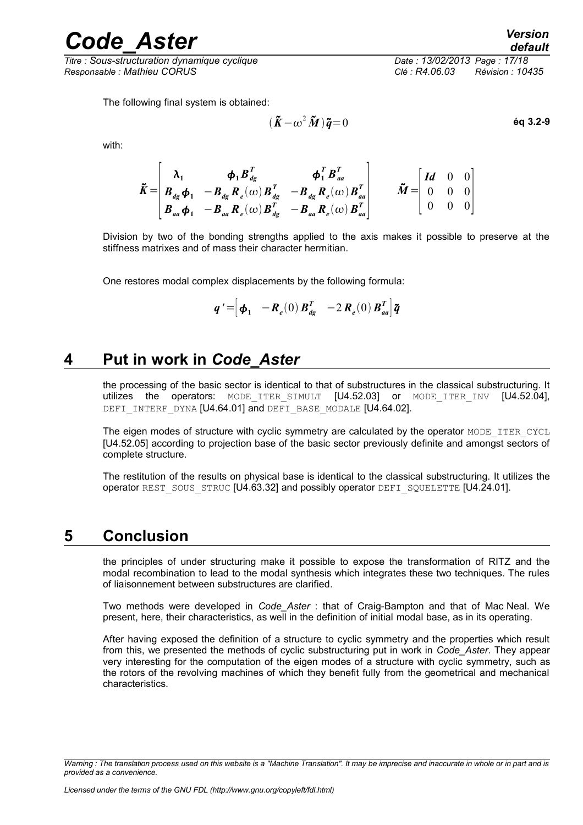*Titre : Sous-structuration dynamique cyclique Date : 13/02/2013 Page : 17/18 Responsable : Mathieu CORUS Clé : R4.06.03 Révision : 10435*

 $\tilde{K} - \omega^2 \tilde{M}$   $\tilde{q} = 0$  éq 3.2-9

with:

$$
\tilde{K} = \begin{bmatrix}\n\lambda_1 & \boldsymbol{\phi}_1 \boldsymbol{B}_{dg}^T & \boldsymbol{\phi}_1^T \boldsymbol{B}_{aa}^T \\
\boldsymbol{B}_{dg} \boldsymbol{\phi}_1 & -\boldsymbol{B}_{dg} \boldsymbol{R}_e(\omega) \boldsymbol{B}_{dg}^T & -\boldsymbol{B}_{dg} \boldsymbol{R}_e(\omega) \boldsymbol{B}_{aa}^T \\
\boldsymbol{B}_{aa} \boldsymbol{\phi}_1 & -\boldsymbol{B}_{aa} \boldsymbol{R}_e(\omega) \boldsymbol{B}_{dg}^T & -\boldsymbol{B}_{aa} \boldsymbol{R}_e(\omega) \boldsymbol{B}_{aa}^T\n\end{bmatrix} \qquad \tilde{M} = \begin{bmatrix}\nId & 0 & 0 \\
0 & 0 & 0 \\
0 & 0 & 0 \\
0 & 0 & 0\n\end{bmatrix}
$$

Division by two of the bonding strengths applied to the axis makes it possible to preserve at the stiffness matrixes and of mass their character hermitian.

One restores modal complex displacements by the following formula:

$$
\boldsymbol{q}' = \begin{bmatrix} \boldsymbol{\phi}_1 & -\boldsymbol{R}_e(0) \boldsymbol{B}_{dg}^T & -2 \boldsymbol{R}_e(0) \boldsymbol{B}_{aa}^T \end{bmatrix} \tilde{\boldsymbol{q}}
$$

#### **4 Put in work in** *Code\_Aster*

<span id="page-16-1"></span>the processing of the basic sector is identical to that of substructures in the classical substructuring. It utilizes the operators: MODE\_ITER\_SIMULT [U4.52.03] or MODE\_ITER\_INV [U4.52.04], DEFI\_INTERF\_DYNA [U4.64.01] and DEFI\_BASE\_MODALE [U4.64.02].

The eigen modes of structure with cyclic symmetry are calculated by the operator MODE\_ITER\_CYCL [U4.52.05] according to projection base of the basic sector previously definite and amongst sectors of complete structure.

The restitution of the results on physical base is identical to the classical substructuring. It utilizes the operator REST\_SOUS\_STRUC [U4.63.32] and possibly operator DEFI\_SQUELETTE [U4.24.01].

#### **5 Conclusion**

<span id="page-16-0"></span>the principles of under structuring make it possible to expose the transformation of RITZ and the modal recombination to lead to the modal synthesis which integrates these two techniques. The rules of liaisonnement between substructures are clarified.

Two methods were developed in *Code\_Aster* : that of Craig-Bampton and that of Mac Neal. We present, here, their characteristics, as well in the definition of initial modal base, as in its operating.

After having exposed the definition of a structure to cyclic symmetry and the properties which result from this, we presented the methods of cyclic substructuring put in work in *Code\_Aster*. They appear very interesting for the computation of the eigen modes of a structure with cyclic symmetry, such as the rotors of the revolving machines of which they benefit fully from the geometrical and mechanical characteristics.

*Warning : The translation process used on this website is a "Machine Translation". It may be imprecise and inaccurate in whole or in part and is provided as a convenience.*